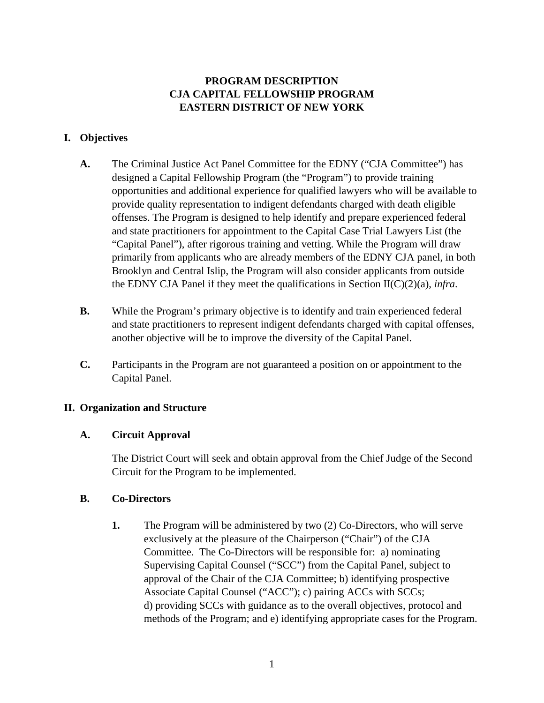# **PROGRAM DESCRIPTION CJA CAPITAL FELLOWSHIP PROGRAM EASTERN DISTRICT OF NEW YORK**

## **I. Objectives**

- **A.** The Criminal Justice Act Panel Committee for the EDNY ("CJA Committee") has designed a Capital Fellowship Program (the "Program") to provide training opportunities and additional experience for qualified lawyers who will be available to provide quality representation to indigent defendants charged with death eligible offenses. The Program is designed to help identify and prepare experienced federal and state practitioners for appointment to the Capital Case Trial Lawyers List (the "Capital Panel"), after rigorous training and vetting. While the Program will draw primarily from applicants who are already members of the EDNY CJA panel, in both Brooklyn and Central Islip, the Program will also consider applicants from outside the EDNY CJA Panel if they meet the qualifications in Section II(C)(2)(a), *infra*.
- **B.** While the Program's primary objective is to identify and train experienced federal and state practitioners to represent indigent defendants charged with capital offenses, another objective will be to improve the diversity of the Capital Panel.
- **C.** Participants in the Program are not guaranteed a position on or appointment to the Capital Panel.

## **II. Organization and Structure**

## **A. Circuit Approval**

The District Court will seek and obtain approval from the Chief Judge of the Second Circuit for the Program to be implemented.

## **B. Co-Directors**

**1.** The Program will be administered by two (2) Co-Directors, who will serve exclusively at the pleasure of the Chairperson ("Chair") of the CJA Committee. The Co-Directors will be responsible for: a) nominating Supervising Capital Counsel ("SCC") from the Capital Panel, subject to approval of the Chair of the CJA Committee; b) identifying prospective Associate Capital Counsel ("ACC"); c) pairing ACCs with SCCs; d) providing SCCs with guidance as to the overall objectives, protocol and methods of the Program; and e) identifying appropriate cases for the Program.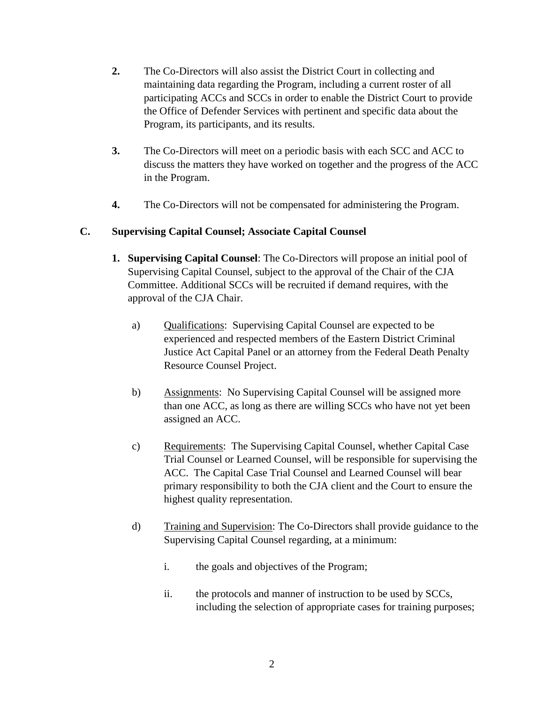- **2.** The Co-Directors will also assist the District Court in collecting and maintaining data regarding the Program, including a current roster of all participating ACCs and SCCs in order to enable the District Court to provide the Office of Defender Services with pertinent and specific data about the Program, its participants, and its results.
- **3.** The Co-Directors will meet on a periodic basis with each SCC and ACC to discuss the matters they have worked on together and the progress of the ACC in the Program.
- **4.** The Co-Directors will not be compensated for administering the Program.

# **C. Supervising Capital Counsel; Associate Capital Counsel**

- **1. Supervising Capital Counsel**: The Co-Directors will propose an initial pool of Supervising Capital Counsel, subject to the approval of the Chair of the CJA Committee. Additional SCCs will be recruited if demand requires, with the approval of the CJA Chair.
	- a) Qualifications: Supervising Capital Counsel are expected to be experienced and respected members of the Eastern District Criminal Justice Act Capital Panel or an attorney from the Federal Death Penalty Resource Counsel Project.
	- b) Assignments: No Supervising Capital Counsel will be assigned more than one ACC, as long as there are willing SCCs who have not yet been assigned an ACC.
	- c) Requirements: The Supervising Capital Counsel, whether Capital Case Trial Counsel or Learned Counsel, will be responsible for supervising the ACC. The Capital Case Trial Counsel and Learned Counsel will bear primary responsibility to both the CJA client and the Court to ensure the highest quality representation.
	- d) Training and Supervision: The Co-Directors shall provide guidance to the Supervising Capital Counsel regarding, at a minimum:
		- i. the goals and objectives of the Program;
		- ii. the protocols and manner of instruction to be used by SCCs, including the selection of appropriate cases for training purposes;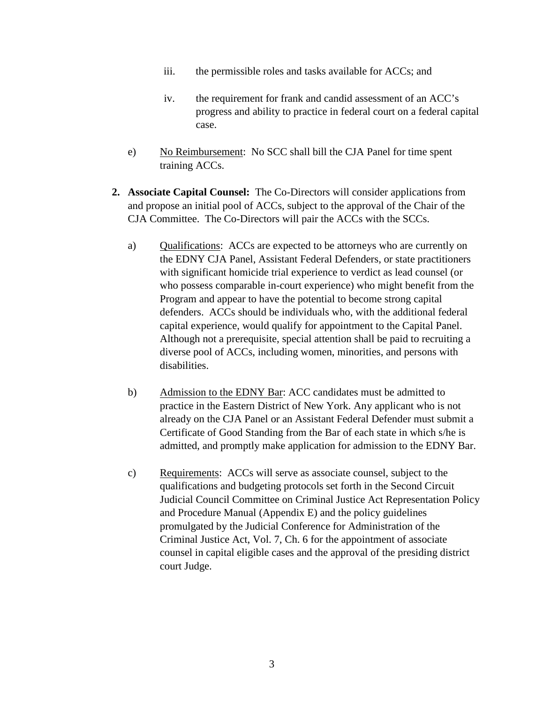- iii. the permissible roles and tasks available for ACCs; and
- iv. the requirement for frank and candid assessment of an ACC's progress and ability to practice in federal court on a federal capital case.
- e) No Reimbursement: No SCC shall bill the CJA Panel for time spent training ACCs.
- **2. Associate Capital Counsel:** The Co-Directors will consider applications from and propose an initial pool of ACCs, subject to the approval of the Chair of the CJA Committee. The Co-Directors will pair the ACCs with the SCCs.
	- a) Qualifications: ACCs are expected to be attorneys who are currently on the EDNY CJA Panel, Assistant Federal Defenders, or state practitioners with significant homicide trial experience to verdict as lead counsel (or who possess comparable in-court experience) who might benefit from the Program and appear to have the potential to become strong capital defenders. ACCs should be individuals who, with the additional federal capital experience, would qualify for appointment to the Capital Panel. Although not a prerequisite, special attention shall be paid to recruiting a diverse pool of ACCs, including women, minorities, and persons with disabilities.
	- b) Admission to the EDNY Bar: ACC candidates must be admitted to practice in the Eastern District of New York. Any applicant who is not already on the CJA Panel or an Assistant Federal Defender must submit a Certificate of Good Standing from the Bar of each state in which s/he is admitted, and promptly make application for admission to the EDNY Bar.
	- c) Requirements: ACCs will serve as associate counsel, subject to the qualifications and budgeting protocols set forth in the Second Circuit Judicial Council Committee on Criminal Justice Act Representation Policy and Procedure Manual (Appendix E) and the policy guidelines promulgated by the Judicial Conference for Administration of the Criminal Justice Act, Vol. 7, Ch. 6 for the appointment of associate counsel in capital eligible cases and the approval of the presiding district court Judge.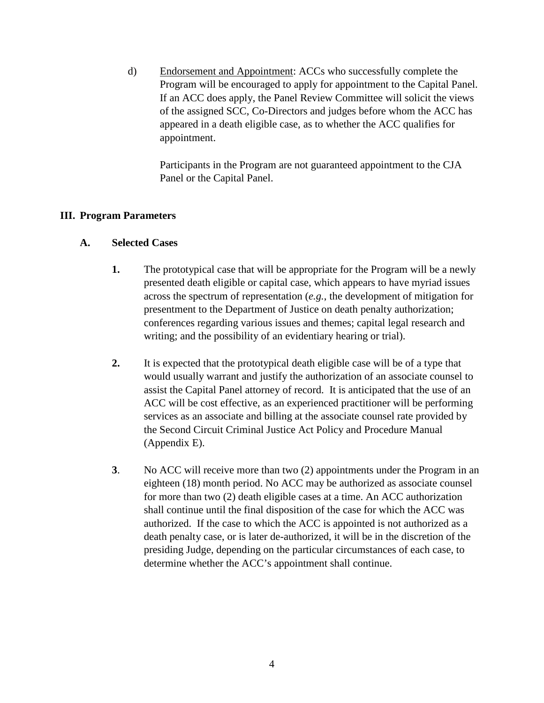d) Endorsement and Appointment: ACCs who successfully complete the Program will be encouraged to apply for appointment to the Capital Panel. If an ACC does apply, the Panel Review Committee will solicit the views of the assigned SCC, Co-Directors and judges before whom the ACC has appeared in a death eligible case, as to whether the ACC qualifies for appointment.

Participants in the Program are not guaranteed appointment to the CJA Panel or the Capital Panel.

#### **III. Program Parameters**

#### **A. Selected Cases**

- **1.** The prototypical case that will be appropriate for the Program will be a newly presented death eligible or capital case, which appears to have myriad issues across the spectrum of representation (*e.g.*, the development of mitigation for presentment to the Department of Justice on death penalty authorization; conferences regarding various issues and themes; capital legal research and writing; and the possibility of an evidentiary hearing or trial).
- **2.** It is expected that the prototypical death eligible case will be of a type that would usually warrant and justify the authorization of an associate counsel to assist the Capital Panel attorney of record. It is anticipated that the use of an ACC will be cost effective, as an experienced practitioner will be performing services as an associate and billing at the associate counsel rate provided by the Second Circuit Criminal Justice Act Policy and Procedure Manual (Appendix E).
- **3**. No ACC will receive more than two (2) appointments under the Program in an eighteen (18) month period. No ACC may be authorized as associate counsel for more than two (2) death eligible cases at a time. An ACC authorization shall continue until the final disposition of the case for which the ACC was authorized. If the case to which the ACC is appointed is not authorized as a death penalty case, or is later de-authorized, it will be in the discretion of the presiding Judge, depending on the particular circumstances of each case, to determine whether the ACC's appointment shall continue.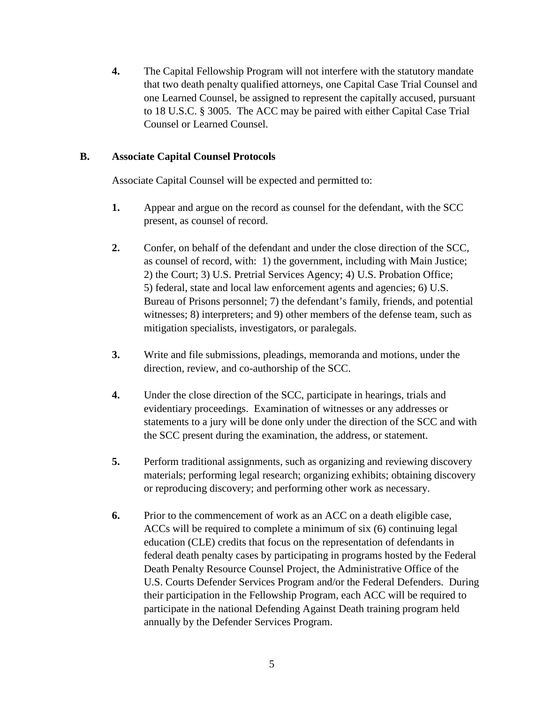**4.** The Capital Fellowship Program will not interfere with the statutory mandate that two death penalty qualified attorneys, one Capital Case Trial Counsel and one Learned Counsel, be assigned to represent the capitally accused, pursuant to 18 U.S.C. § 3005. The ACC may be paired with either Capital Case Trial Counsel or Learned Counsel.

### **B. Associate Capital Counsel Protocols**

Associate Capital Counsel will be expected and permitted to:

- **1.** Appear and argue on the record as counsel for the defendant, with the SCC present, as counsel of record.
- **2.** Confer, on behalf of the defendant and under the close direction of the SCC, as counsel of record, with: 1) the government, including with Main Justice; 2) the Court; 3) U.S. Pretrial Services Agency; 4) U.S. Probation Office; 5) federal, state and local law enforcement agents and agencies; 6) U.S. Bureau of Prisons personnel; 7) the defendant's family, friends, and potential witnesses; 8) interpreters; and 9) other members of the defense team, such as mitigation specialists, investigators, or paralegals.
- **3.** Write and file submissions, pleadings, memoranda and motions, under the direction, review, and co-authorship of the SCC.
- **4.** Under the close direction of the SCC, participate in hearings, trials and evidentiary proceedings. Examination of witnesses or any addresses or statements to a jury will be done only under the direction of the SCC and with the SCC present during the examination, the address, or statement.
- **5.** Perform traditional assignments, such as organizing and reviewing discovery materials; performing legal research; organizing exhibits; obtaining discovery or reproducing discovery; and performing other work as necessary.
- **6.** Prior to the commencement of work as an ACC on a death eligible case, ACCs will be required to complete a minimum of six (6) continuing legal education (CLE) credits that focus on the representation of defendants in federal death penalty cases by participating in programs hosted by the Federal Death Penalty Resource Counsel Project, the Administrative Office of the U.S. Courts Defender Services Program and/or the Federal Defenders. During their participation in the Fellowship Program, each ACC will be required to participate in the national Defending Against Death training program held annually by the Defender Services Program.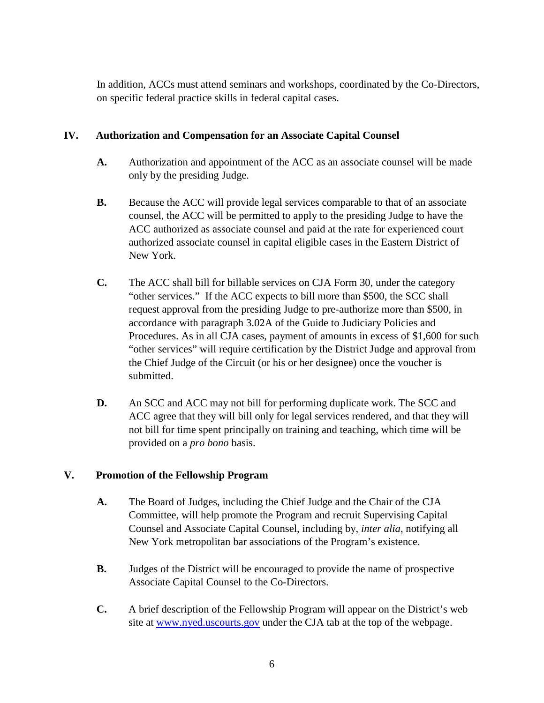In addition, ACCs must attend seminars and workshops, coordinated by the Co-Directors, on specific federal practice skills in federal capital cases.

## **IV. Authorization and Compensation for an Associate Capital Counsel**

- **A.** Authorization and appointment of the ACC as an associate counsel will be made only by the presiding Judge.
- **B.** Because the ACC will provide legal services comparable to that of an associate counsel, the ACC will be permitted to apply to the presiding Judge to have the ACC authorized as associate counsel and paid at the rate for experienced court authorized associate counsel in capital eligible cases in the Eastern District of New York.
- **C.** The ACC shall bill for billable services on CJA Form 30, under the category "other services." If the ACC expects to bill more than \$500, the SCC shall request approval from the presiding Judge to pre-authorize more than \$500, in accordance with paragraph 3.02A of the Guide to Judiciary Policies and Procedures. As in all CJA cases, payment of amounts in excess of \$1,600 for such "other services" will require certification by the District Judge and approval from the Chief Judge of the Circuit (or his or her designee) once the voucher is submitted.
- **D.** An SCC and ACC may not bill for performing duplicate work. The SCC and ACC agree that they will bill only for legal services rendered, and that they will not bill for time spent principally on training and teaching, which time will be provided on a *pro bono* basis.

# **V. Promotion of the Fellowship Program**

- **A.** The Board of Judges, including the Chief Judge and the Chair of the CJA Committee, will help promote the Program and recruit Supervising Capital Counsel and Associate Capital Counsel, including by, *inter alia*, notifying all New York metropolitan bar associations of the Program's existence.
- **B.** Judges of the District will be encouraged to provide the name of prospective Associate Capital Counsel to the Co-Directors.
- **C.** A brief description of the Fellowship Program will appear on the District's web site at [www.nyed.uscourts.gov](http://www.nyed.uscourts.gov/) under the CJA tab at the top of the webpage.